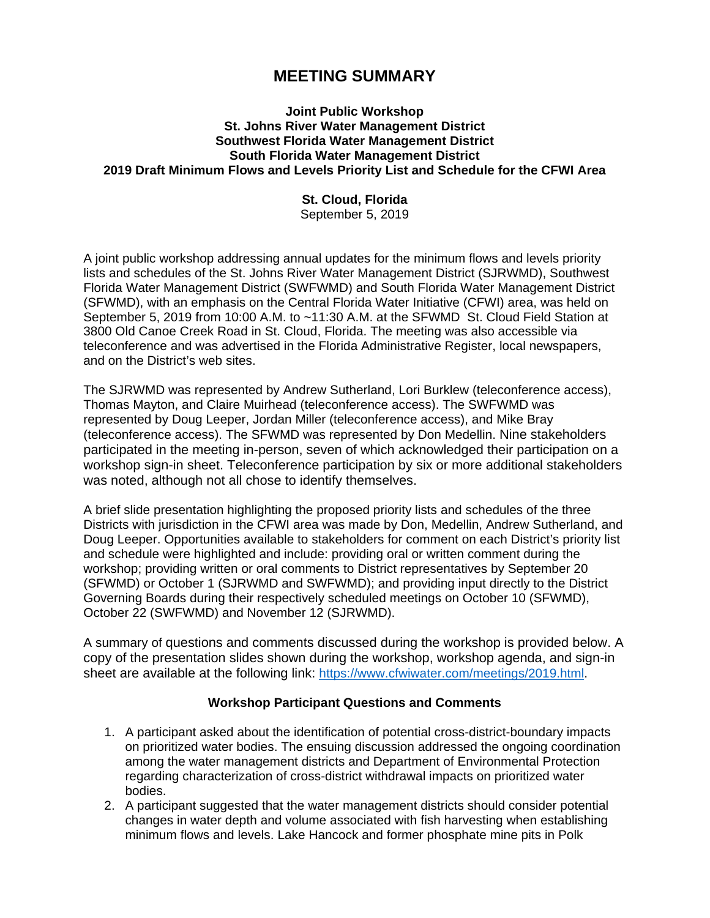## **MEETING SUMMARY**

## **Joint Public Workshop St. Johns River Water Management District Southwest Florida Water Management District South Florida Water Management District 2019 Draft Minimum Flows and Levels Priority List and Schedule for the CFWI Area**

## **St. Cloud, Florida**

September 5, 2019

A joint public workshop addressing annual updates for the minimum flows and levels priority lists and schedules of the St. Johns River Water Management District (SJRWMD), Southwest Florida Water Management District (SWFWMD) and South Florida Water Management District (SFWMD), with an emphasis on the Central Florida Water Initiative (CFWI) area, was held on September 5, 2019 from 10:00 A.M. to ~11:30 A.M. at the SFWMD St. Cloud Field Station at 3800 Old Canoe Creek Road in St. Cloud, Florida. The meeting was also accessible via teleconference and was advertised in the Florida Administrative Register, local newspapers, and on the District's web sites.

The SJRWMD was represented by Andrew Sutherland, Lori Burklew (teleconference access), Thomas Mayton, and Claire Muirhead (teleconference access). The SWFWMD was represented by Doug Leeper, Jordan Miller (teleconference access), and Mike Bray (teleconference access). The SFWMD was represented by Don Medellin. Nine stakeholders participated in the meeting in-person, seven of which acknowledged their participation on a workshop sign-in sheet. Teleconference participation by six or more additional stakeholders was noted, although not all chose to identify themselves.

A brief slide presentation highlighting the proposed priority lists and schedules of the three Districts with jurisdiction in the CFWI area was made by Don, Medellin, Andrew Sutherland, and Doug Leeper. Opportunities available to stakeholders for comment on each District's priority list and schedule were highlighted and include: providing oral or written comment during the workshop; providing written or oral comments to District representatives by September 20 (SFWMD) or October 1 (SJRWMD and SWFWMD); and providing input directly to the District Governing Boards during their respectively scheduled meetings on October 10 (SFWMD), October 22 (SWFWMD) and November 12 (SJRWMD).

A summary of questions and comments discussed during the workshop is provided below. A copy of the presentation slides shown during the workshop, workshop agenda, and sign-in sheet are available at the following link: [https://www.cfwiwater.com/meetings/2019.html.](https://gcc02.safelinks.protection.outlook.com/?url=https%3A%2F%2Fwww.cfwiwater.com%2Fmeetings%2F2019.html&data=02%7C01%7Cdmedelli%40sfwmd.gov%7C361b3da494c14370744408d732fe8721%7Cd23f7173b3864e918ce7052a18d65341%7C0%7C1%7C637033941095859741&sdata=wQvud5OHElbYsWe76KrysAO0n8ZKm9yMWKiNlYhahdQ%3D&reserved=0)

## **Workshop Participant Questions and Comments**

- 1. A participant asked about the identification of potential cross-district-boundary impacts on prioritized water bodies. The ensuing discussion addressed the ongoing coordination among the water management districts and Department of Environmental Protection regarding characterization of cross-district withdrawal impacts on prioritized water bodies.
- 2. A participant suggested that the water management districts should consider potential changes in water depth and volume associated with fish harvesting when establishing minimum flows and levels. Lake Hancock and former phosphate mine pits in Polk